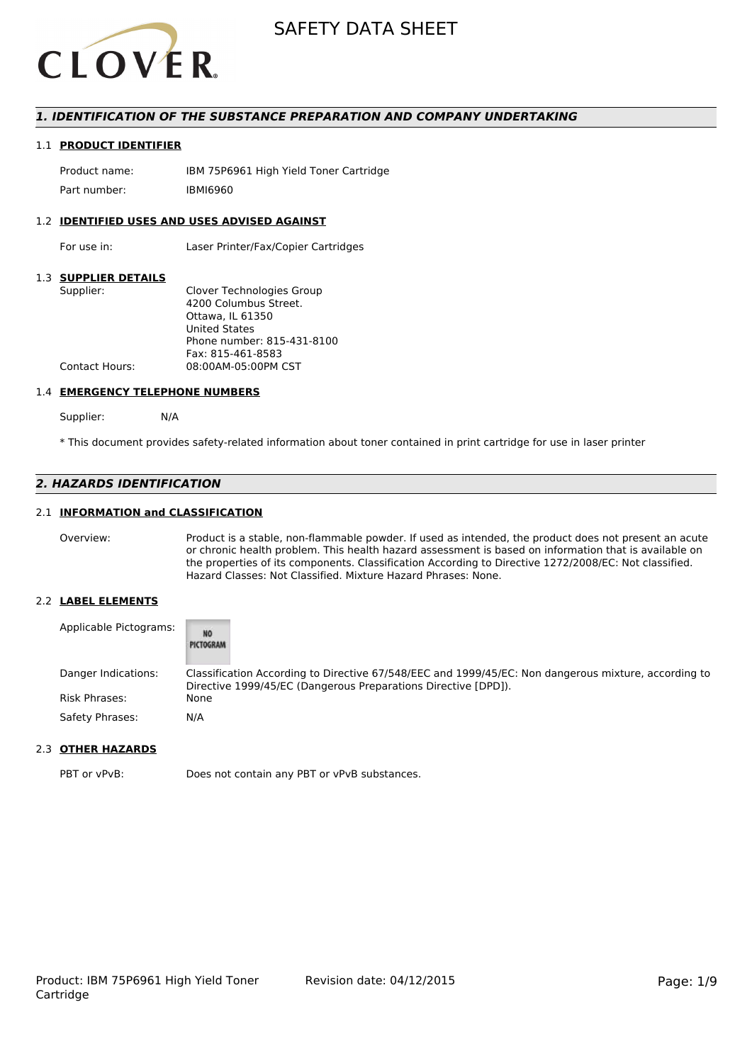

## *1. IDENTIFICATION OF THE SUBSTANCE PREPARATION AND COMPANY UNDERTAKING*

### 1.1 **PRODUCT IDENTIFIER**

Product name: IBM 75P6961 High Yield Toner Cartridge Part number: IBMI6960

#### 1.2 **IDENTIFIED USES AND USES ADVISED AGAINST**

For use in: Laser Printer/Fax/Copier Cartridges

## 1.3 **SUPPLIER DETAILS**

| Supplier:             | Clover Technologies Group  |
|-----------------------|----------------------------|
|                       | 4200 Columbus Street.      |
|                       | Ottawa. IL 61350           |
|                       | <b>United States</b>       |
|                       | Phone number: 815-431-8100 |
|                       | Fax: 815-461-8583          |
| <b>Contact Hours:</b> | 08:00AM-05:00PM CST        |
|                       |                            |

#### 1.4 **EMERGENCY TELEPHONE NUMBERS**

Supplier: N/A

\* This document provides safety-related information about toner contained in print cartridge for use in laser printer

## *2. HAZARDS IDENTIFICATION*

## 2.1 **INFORMATION and CLASSIFICATION**

Overview: Product is a stable, non-flammable powder. If used as intended, the product does not present an acute or chronic health problem. This health hazard assessment is based on information that is available on the properties of its components. Classification According to Directive 1272/2008/EC: Not classified. Hazard Classes: Not Classified. Mixture Hazard Phrases: None.

#### 2.2 **LABEL ELEMENTS**

| Applicable Pictograms: | <b>NO</b><br>PICTOGRAM                                                                                                                                                 |
|------------------------|------------------------------------------------------------------------------------------------------------------------------------------------------------------------|
| Danger Indications:    | Classification According to Directive 67/548/EEC and 1999/45/EC: Non dangerous mixture, according to<br>Directive 1999/45/EC (Dangerous Preparations Directive [DPD]). |
| <b>Risk Phrases:</b>   | None                                                                                                                                                                   |
| Safety Phrases:        | N/A                                                                                                                                                                    |

## 2.3 **OTHER HAZARDS**

PBT or vPvB: Does not contain any PBT or vPvB substances.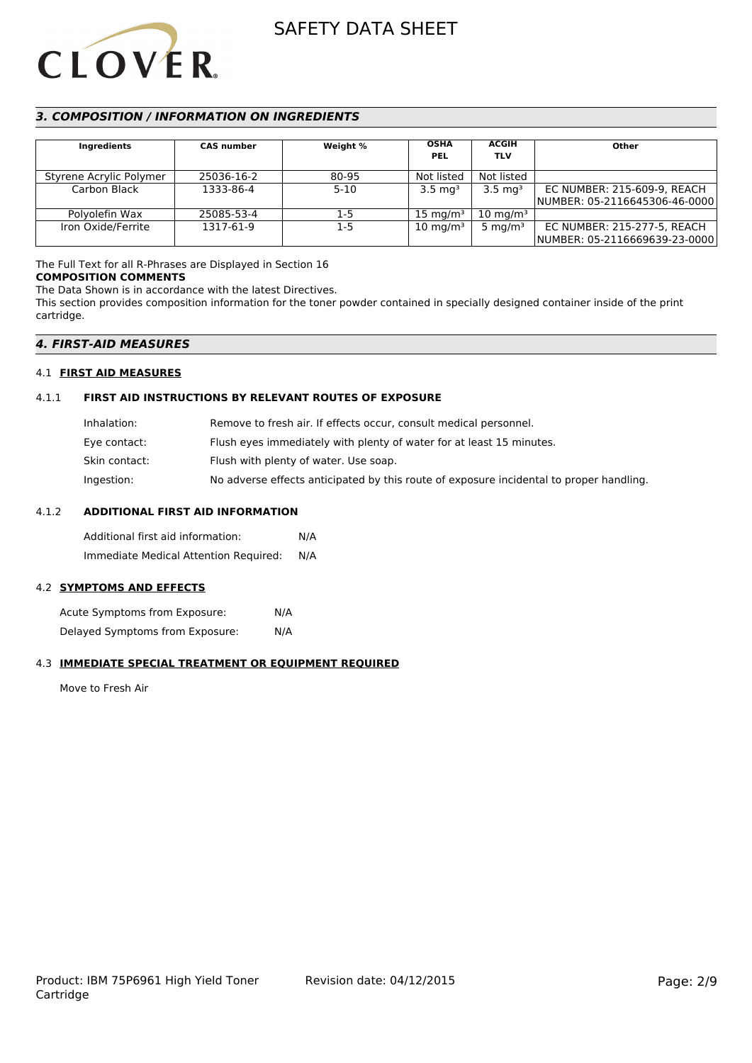

## *3. COMPOSITION / INFORMATION ON INGREDIENTS*

| <b>Ingredients</b>      | <b>CAS number</b> | Weight % | <b>OSHA</b><br><b>PEL</b> | <b>ACGIH</b><br><b>TLV</b> | Other                         |
|-------------------------|-------------------|----------|---------------------------|----------------------------|-------------------------------|
| Styrene Acrylic Polymer | 25036-16-2        | 80-95    | Not listed                | Not listed                 |                               |
| Carbon Black            | 1333-86-4         | $5 - 10$ | $3.5 \text{ mg}^3$        | $3.5 \text{ mg}^3$         | EC NUMBER: 215-609-9, REACH   |
|                         |                   |          |                           |                            | NUMBER: 05-2116645306-46-0000 |
| Polyolefin Wax          | 25085-53-4        | 1-5      | $15 \text{ mg/m}^3$       | $10 \text{ mg/m}^3$        |                               |
| Iron Oxide/Ferrite      | 1317-61-9         | $1-5$    | $10 \text{ mg/m}^3$       | 5 mg/m $3$                 | EC NUMBER: 215-277-5, REACH   |
|                         |                   |          |                           |                            | NUMBER: 05-2116669639-23-0000 |

The Full Text for all R-Phrases are Displayed in Section 16

#### **COMPOSITION COMMENTS**

The Data Shown is in accordance with the latest Directives.

This section provides composition information for the toner powder contained in specially designed container inside of the print cartridge.

## *4. FIRST-AID MEASURES*

### 4.1 **FIRST AID MEASURES**

## 4.1.1 **FIRST AID INSTRUCTIONS BY RELEVANT ROUTES OF EXPOSURE**

| Remove to fresh air. If effects occur, consult medical personnel.                       |
|-----------------------------------------------------------------------------------------|
| Flush eyes immediately with plenty of water for at least 15 minutes.                    |
| Flush with plenty of water. Use soap.                                                   |
| No adverse effects anticipated by this route of exposure incidental to proper handling. |
|                                                                                         |

## 4.1.2 **ADDITIONAL FIRST AID INFORMATION**

Additional first aid information: N/A Immediate Medical Attention Required: N/A

### 4.2 **SYMPTOMS AND EFFECTS**

Acute Symptoms from Exposure: N/A Delayed Symptoms from Exposure: N/A

## 4.3 **IMMEDIATE SPECIAL TREATMENT OR EQUIPMENT REQUIRED**

Move to Fresh Air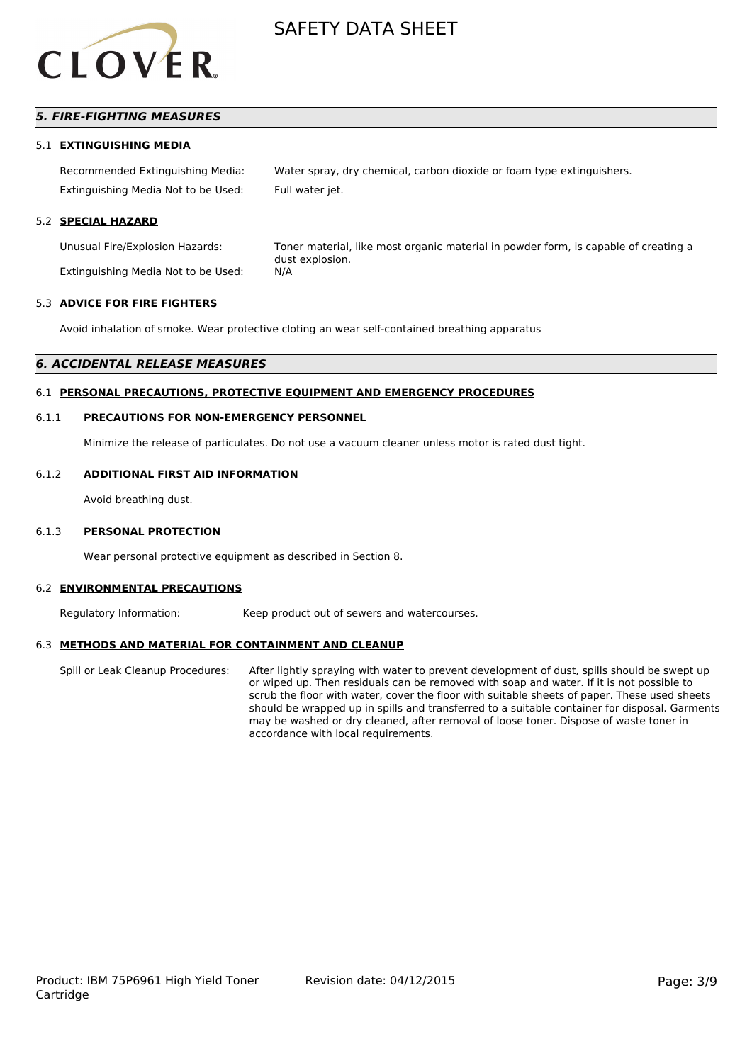

## *5. FIRE-FIGHTING MEASURES*

#### 5.1 **EXTINGUISHING MEDIA**

Recommended Extinguishing Media: Water spray, dry chemical, carbon dioxide or foam type extinguishers. Extinguishing Media Not to be Used: Full water jet.

#### 5.2 **SPECIAL HAZARD**

Extinguishing Media Not to be Used: N/A

Unusual Fire/Explosion Hazards: Toner material, like most organic material in powder form, is capable of creating a dust explosion.

#### 5.3 **ADVICE FOR FIRE FIGHTERS**

Avoid inhalation of smoke. Wear protective cloting an wear self-contained breathing apparatus

#### *6. ACCIDENTAL RELEASE MEASURES*

### 6.1 **PERSONAL PRECAUTIONS, PROTECTIVE EQUIPMENT AND EMERGENCY PROCEDURES**

#### 6.1.1 **PRECAUTIONS FOR NON-EMERGENCY PERSONNEL**

Minimize the release of particulates. Do not use a vacuum cleaner unless motor is rated dust tight.

#### 6.1.2 **ADDITIONAL FIRST AID INFORMATION**

Avoid breathing dust.

#### 6.1.3 **PERSONAL PROTECTION**

Wear personal protective equipment as described in Section 8.

#### 6.2 **ENVIRONMENTAL PRECAUTIONS**

Regulatory Information: Keep product out of sewers and watercourses.

### 6.3 **METHODS AND MATERIAL FOR CONTAINMENT AND CLEANUP**

Spill or Leak Cleanup Procedures: After lightly spraying with water to prevent development of dust, spills should be swept up or wiped up. Then residuals can be removed with soap and water. If it is not possible to scrub the floor with water, cover the floor with suitable sheets of paper. These used sheets should be wrapped up in spills and transferred to a suitable container for disposal. Garments may be washed or dry cleaned, after removal of loose toner. Dispose of waste toner in accordance with local requirements.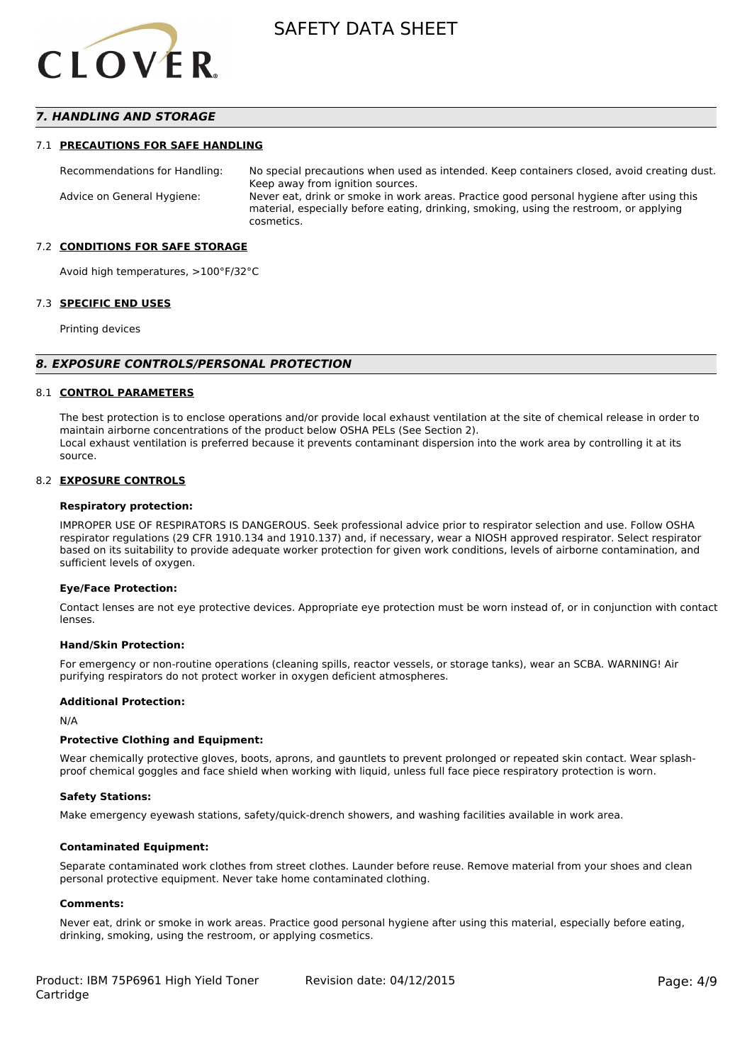

## *7. HANDLING AND STORAGE*

#### 7.1 **PRECAUTIONS FOR SAFE HANDLING**

Recommendations for Handling: No special precautions when used as intended. Keep containers closed, avoid creating dust. Keep away from ignition sources. Advice on General Hygiene: Never eat, drink or smoke in work areas. Practice good personal hygiene after using this material, especially before eating, drinking, smoking, using the restroom, or applying cosmetics.

#### 7.2 **CONDITIONS FOR SAFE STORAGE**

Avoid high temperatures, >100°F/32°C

#### 7.3 **SPECIFIC END USES**

Printing devices

#### *8. EXPOSURE CONTROLS/PERSONAL PROTECTION*

#### 8.1 **CONTROL PARAMETERS**

The best protection is to enclose operations and/or provide local exhaust ventilation at the site of chemical release in order to maintain airborne concentrations of the product below OSHA PELs (See Section 2). Local exhaust ventilation is preferred because it prevents contaminant dispersion into the work area by controlling it at its source.

#### 8.2 **EXPOSURE CONTROLS**

#### **Respiratory protection:**

IMPROPER USE OF RESPIRATORS IS DANGEROUS. Seek professional advice prior to respirator selection and use. Follow OSHA respirator regulations (29 CFR 1910.134 and 1910.137) and, if necessary, wear a NIOSH approved respirator. Select respirator based on its suitability to provide adequate worker protection for given work conditions, levels of airborne contamination, and sufficient levels of oxygen.

#### **Eye/Face Protection:**

Contact lenses are not eye protective devices. Appropriate eye protection must be worn instead of, or in conjunction with contact lenses.

#### **Hand/Skin Protection:**

For emergency or non-routine operations (cleaning spills, reactor vessels, or storage tanks), wear an SCBA. WARNING! Air purifying respirators do not protect worker in oxygen deficient atmospheres.

#### **Additional Protection:**

N/A

#### **Protective Clothing and Equipment:**

Wear chemically protective gloves, boots, aprons, and gauntlets to prevent prolonged or repeated skin contact. Wear splashproof chemical goggles and face shield when working with liquid, unless full face piece respiratory protection is worn.

#### **Safety Stations:**

Make emergency eyewash stations, safety/quick-drench showers, and washing facilities available in work area.

#### **Contaminated Equipment:**

Separate contaminated work clothes from street clothes. Launder before reuse. Remove material from your shoes and clean personal protective equipment. Never take home contaminated clothing.

#### **Comments:**

Never eat, drink or smoke in work areas. Practice good personal hygiene after using this material, especially before eating, drinking, smoking, using the restroom, or applying cosmetics.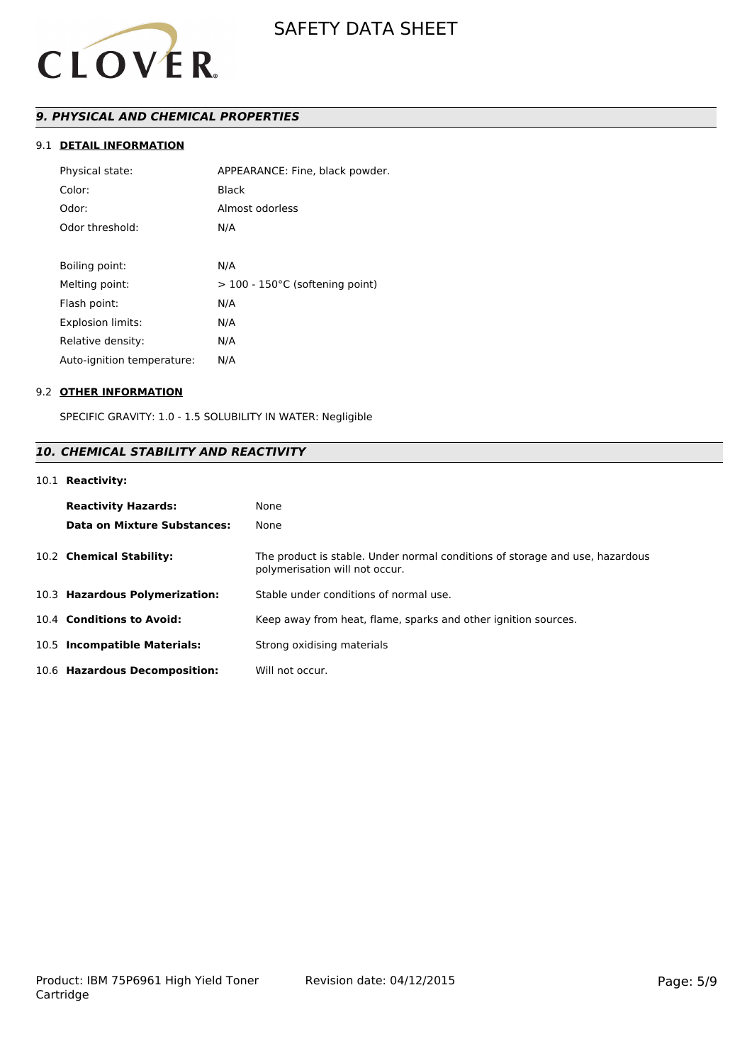

# *9. PHYSICAL AND CHEMICAL PROPERTIES*

## 9.1 **DETAIL INFORMATION**

| Physical state:            | APPEARANCE: Fine, black powder.   |
|----------------------------|-----------------------------------|
| Color:                     | Black                             |
| Odor:                      | Almost odorless                   |
| Odor threshold:            | N/A                               |
|                            |                                   |
| Boiling point:             | N/A                               |
| Melting point:             | $>$ 100 - 150°C (softening point) |
| Flash point:               | N/A                               |
| <b>Explosion limits:</b>   | N/A                               |
| Relative density:          | N/A                               |
| Auto-ignition temperature: | N/A                               |

### 9.2 **OTHER INFORMATION**

SPECIFIC GRAVITY: 1.0 - 1.5 SOLUBILITY IN WATER: Negligible

# *10. CHEMICAL STABILITY AND REACTIVITY*

# 10.1 **Reactivity:**

| <b>Reactivity Hazards:</b>     | None                                                                                                           |
|--------------------------------|----------------------------------------------------------------------------------------------------------------|
| Data on Mixture Substances:    | None                                                                                                           |
| 10.2 Chemical Stability:       | The product is stable. Under normal conditions of storage and use, hazardous<br>polymerisation will not occur. |
| 10.3 Hazardous Polymerization: | Stable under conditions of normal use.                                                                         |
| 10.4 Conditions to Avoid:      | Keep away from heat, flame, sparks and other ignition sources.                                                 |
| 10.5 Incompatible Materials:   | Strong oxidising materials                                                                                     |
| 10.6 Hazardous Decomposition:  | Will not occur.                                                                                                |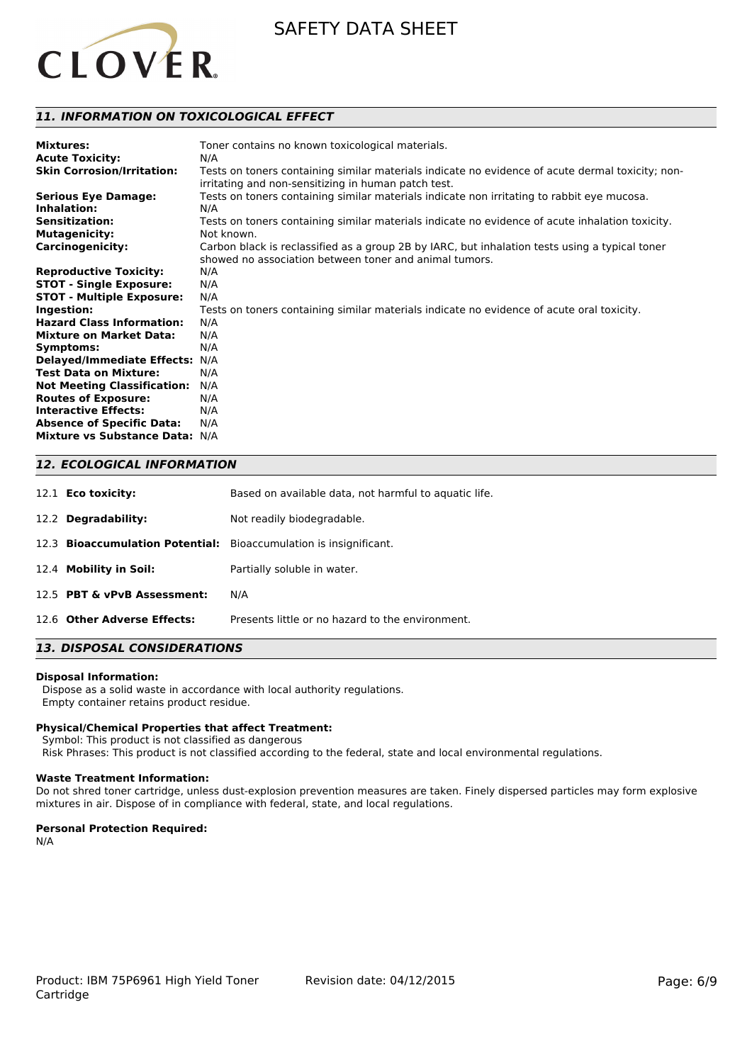

## *11. INFORMATION ON TOXICOLOGICAL EFFECT*

| <b>Mixtures:</b>                      | Toner contains no known toxicological materials.                                                 |
|---------------------------------------|--------------------------------------------------------------------------------------------------|
| <b>Acute Toxicity:</b>                | N/A                                                                                              |
| <b>Skin Corrosion/Irritation:</b>     | Tests on toners containing similar materials indicate no evidence of acute dermal toxicity; non- |
|                                       | irritating and non-sensitizing in human patch test.                                              |
| <b>Serious Eye Damage:</b>            | Tests on toners containing similar materials indicate non irritating to rabbit eye mucosa.       |
| Inhalation:                           | N/A                                                                                              |
| <b>Sensitization:</b>                 | Tests on toners containing similar materials indicate no evidence of acute inhalation toxicity.  |
| <b>Mutagenicity:</b>                  | Not known.                                                                                       |
| <b>Carcinogenicity:</b>               | Carbon black is reclassified as a group 2B by IARC, but inhalation tests using a typical toner   |
|                                       | showed no association between toner and animal tumors.                                           |
| <b>Reproductive Toxicity:</b>         | N/A                                                                                              |
| <b>STOT - Single Exposure:</b>        | N/A                                                                                              |
| <b>STOT - Multiple Exposure:</b>      | N/A                                                                                              |
| Ingestion:                            | Tests on toners containing similar materials indicate no evidence of acute oral toxicity.        |
| <b>Hazard Class Information:</b>      | N/A                                                                                              |
| <b>Mixture on Market Data:</b>        | N/A                                                                                              |
| Symptoms:                             | N/A                                                                                              |
| Delayed/Immediate Effects: N/A        |                                                                                                  |
| <b>Test Data on Mixture:</b>          | N/A                                                                                              |
| <b>Not Meeting Classification:</b>    | N/A                                                                                              |
| <b>Routes of Exposure:</b>            | N/A                                                                                              |
| <b>Interactive Effects:</b>           | N/A                                                                                              |
| <b>Absence of Specific Data:</b>      | N/A                                                                                              |
| <b>Mixture vs Substance Data: N/A</b> |                                                                                                  |

## *12. ECOLOGICAL INFORMATION*

| 12.1 <b>Eco toxicity:</b>   | Based on available data, not harmful to aquatic life.             |
|-----------------------------|-------------------------------------------------------------------|
| 12.2 Degradability:         | Not readily biodegradable.                                        |
|                             | 12.3 Bioaccumulation Potential: Bioaccumulation is insignificant. |
| 12.4 Mobility in Soil:      | Partially soluble in water.                                       |
| 12.5 PBT & vPvB Assessment: | N/A                                                               |
| 12.6 Other Adverse Effects: | Presents little or no hazard to the environment.                  |

# *13. DISPOSAL CONSIDERATIONS*

#### **Disposal Information:**

 Dispose as a solid waste in accordance with local authority regulations. Empty container retains product residue.

#### **Physical/Chemical Properties that affect Treatment:**

Symbol: This product is not classified as dangerous

Risk Phrases: This product is not classified according to the federal, state and local environmental regulations.

### **Waste Treatment Information:**

Do not shred toner cartridge, unless dust-explosion prevention measures are taken. Finely dispersed particles may form explosive mixtures in air. Dispose of in compliance with federal, state, and local regulations.

#### **Personal Protection Required:**

N/A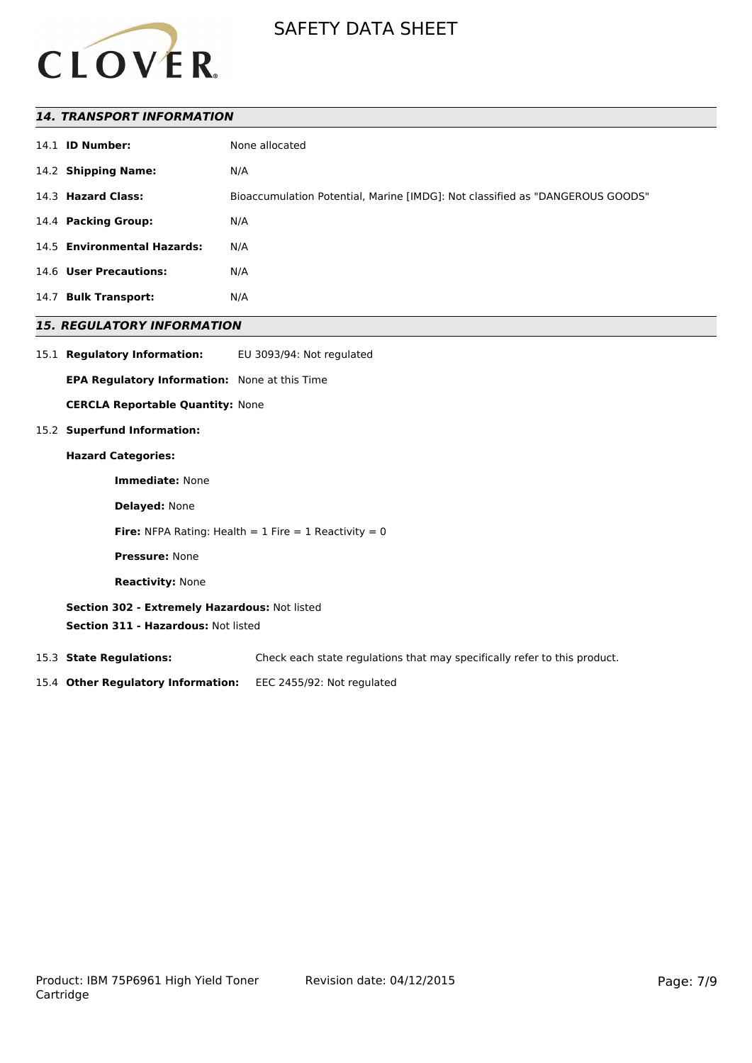

## *14. TRANSPORT INFORMATION*

## *15. REGULATORY INFORMATION*

15.1 **Regulatory Information:** EU 3093/94: Not regulated

**EPA Regulatory Information:** None at this Time

**CERCLA Reportable Quantity:** None

## 15.2 **Superfund Information:**

#### **Hazard Categories:**

**Immediate:** None

**Delayed:** None

**Fire:** NFPA Rating: Health =  $1$  Fire =  $1$  Reactivity =  $0$ 

**Pressure:** None

**Reactivity:** None

**Section 302 - Extremely Hazardous:** Not listed

**Section 311 - Hazardous:** Not listed

15.3 **State Regulations:** Check each state regulations that may specifically refer to this product.

15.4 **Other Regulatory Information:** EEC 2455/92: Not regulated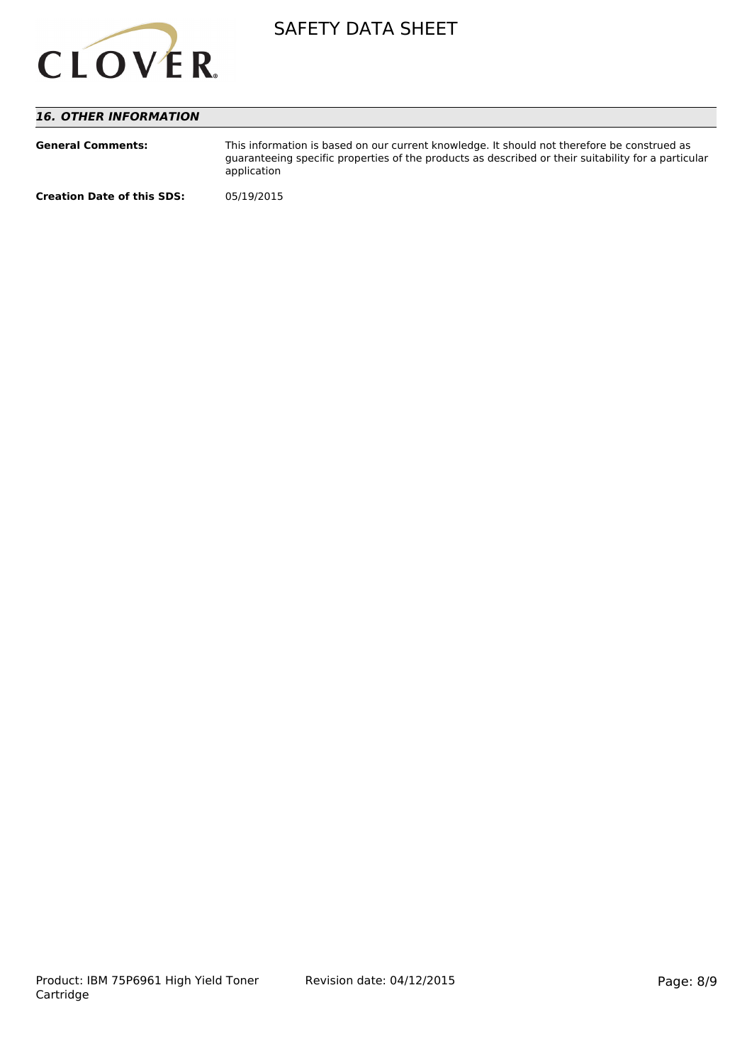

# *16. OTHER INFORMATION*

| <b>General Comments:</b>          | This information is based on our current knowledge. It should not therefore be construed as<br>guaranteeing specific properties of the products as described or their suitability for a particular<br>application |
|-----------------------------------|-------------------------------------------------------------------------------------------------------------------------------------------------------------------------------------------------------------------|
| <b>Creation Date of this SDS:</b> | 05/19/2015                                                                                                                                                                                                        |